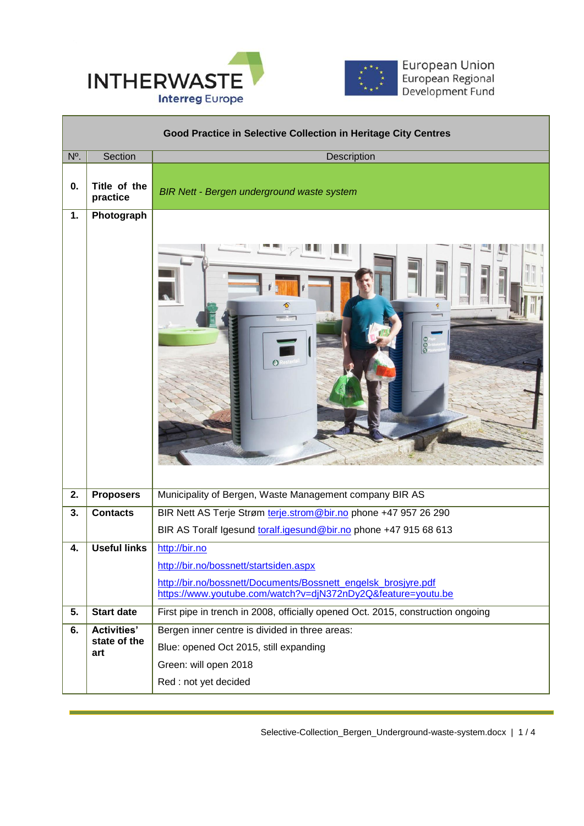



European Union<br>European Regional<br>Development Fund

|     | Good Practice in Selective Collection in Heritage City Centres |                                                                                                                                            |  |  |
|-----|----------------------------------------------------------------|--------------------------------------------------------------------------------------------------------------------------------------------|--|--|
| N°. | Section                                                        | Description                                                                                                                                |  |  |
| 0.  | Title of the<br>practice                                       | <b>BIR Nett - Bergen underground waste system</b>                                                                                          |  |  |
| 1.  | Photograph                                                     |                                                                                                                                            |  |  |
|     |                                                                | $\frac{8}{6}$<br>$\circ$                                                                                                                   |  |  |
| 2.  | <b>Proposers</b>                                               | Municipality of Bergen, Waste Management company BIR AS                                                                                    |  |  |
| 3.  | <b>Contacts</b>                                                | BIR Nett AS Terje Strøm terje.strom@bir.no phone +47 957 26 290                                                                            |  |  |
|     |                                                                | BIR AS Toralf Igesund toralf.igesund@bir.no phone +47 915 68 613                                                                           |  |  |
| 4.  | <b>Useful links</b>                                            | http://bir.no                                                                                                                              |  |  |
|     |                                                                | http://bir.no/bossnett/startsiden.aspx                                                                                                     |  |  |
|     |                                                                | http://bir.no/bossnett/Documents/Bossnett_engelsk_brosjyre.pdf<br>https://www.youtube.com/watch?v=djN372nDy2Q&feature=youtu.be             |  |  |
| 5.  | <b>Start date</b>                                              | First pipe in trench in 2008, officially opened Oct. 2015, construction ongoing                                                            |  |  |
| 6.  | <b>Activities'</b><br>state of the<br>art                      | Bergen inner centre is divided in three areas:<br>Blue: opened Oct 2015, still expanding<br>Green: will open 2018<br>Red : not yet decided |  |  |
|     |                                                                |                                                                                                                                            |  |  |

 $\overline{a}$ 

Selective-Collection\_Bergen\_Underground-waste-system.docx | 1 / 4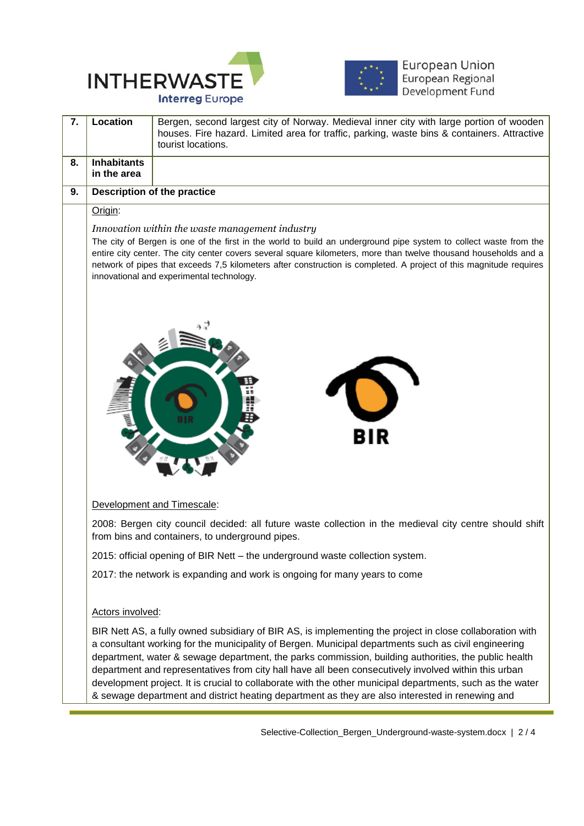



European Union<br>European Regional<br>Development Fund

| 7. | Location                                                                                                                                                                                                                                                                                                                                                                                                                                                    | Bergen, second largest city of Norway. Medieval inner city with large portion of wooden<br>houses. Fire hazard. Limited area for traffic, parking, waste bins & containers. Attractive<br>tourist locations.                                                                                                                                                                                                                                                                                                                                                                                                                                     |  |
|----|-------------------------------------------------------------------------------------------------------------------------------------------------------------------------------------------------------------------------------------------------------------------------------------------------------------------------------------------------------------------------------------------------------------------------------------------------------------|--------------------------------------------------------------------------------------------------------------------------------------------------------------------------------------------------------------------------------------------------------------------------------------------------------------------------------------------------------------------------------------------------------------------------------------------------------------------------------------------------------------------------------------------------------------------------------------------------------------------------------------------------|--|
| 8. | <b>Inhabitants</b><br>in the area                                                                                                                                                                                                                                                                                                                                                                                                                           |                                                                                                                                                                                                                                                                                                                                                                                                                                                                                                                                                                                                                                                  |  |
| 9. | <b>Description of the practice</b>                                                                                                                                                                                                                                                                                                                                                                                                                          |                                                                                                                                                                                                                                                                                                                                                                                                                                                                                                                                                                                                                                                  |  |
|    | Origin:                                                                                                                                                                                                                                                                                                                                                                                                                                                     |                                                                                                                                                                                                                                                                                                                                                                                                                                                                                                                                                                                                                                                  |  |
|    | Innovation within the waste management industry<br>The city of Bergen is one of the first in the world to build an underground pipe system to collect waste from the<br>entire city center. The city center covers several square kilometers, more than twelve thousand households and a<br>network of pipes that exceeds 7,5 kilometers after construction is completed. A project of this magnitude requires<br>innovational and experimental technology. |                                                                                                                                                                                                                                                                                                                                                                                                                                                                                                                                                                                                                                                  |  |
|    | BIR<br>Development and Timescale:                                                                                                                                                                                                                                                                                                                                                                                                                           |                                                                                                                                                                                                                                                                                                                                                                                                                                                                                                                                                                                                                                                  |  |
|    |                                                                                                                                                                                                                                                                                                                                                                                                                                                             | 2008: Bergen city council decided: all future waste collection in the medieval city centre should shift<br>from bins and containers, to underground pipes.                                                                                                                                                                                                                                                                                                                                                                                                                                                                                       |  |
|    |                                                                                                                                                                                                                                                                                                                                                                                                                                                             | 2015: official opening of BIR Nett - the underground waste collection system.                                                                                                                                                                                                                                                                                                                                                                                                                                                                                                                                                                    |  |
|    |                                                                                                                                                                                                                                                                                                                                                                                                                                                             | 2017: the network is expanding and work is ongoing for many years to come                                                                                                                                                                                                                                                                                                                                                                                                                                                                                                                                                                        |  |
|    | Actors involved:                                                                                                                                                                                                                                                                                                                                                                                                                                            |                                                                                                                                                                                                                                                                                                                                                                                                                                                                                                                                                                                                                                                  |  |
|    |                                                                                                                                                                                                                                                                                                                                                                                                                                                             | BIR Nett AS, a fully owned subsidiary of BIR AS, is implementing the project in close collaboration with<br>a consultant working for the municipality of Bergen. Municipal departments such as civil engineering<br>department, water & sewage department, the parks commission, building authorities, the public health<br>department and representatives from city hall have all been consecutively involved within this urban<br>development project. It is crucial to collaborate with the other municipal departments, such as the water<br>& sewage department and district heating department as they are also interested in renewing and |  |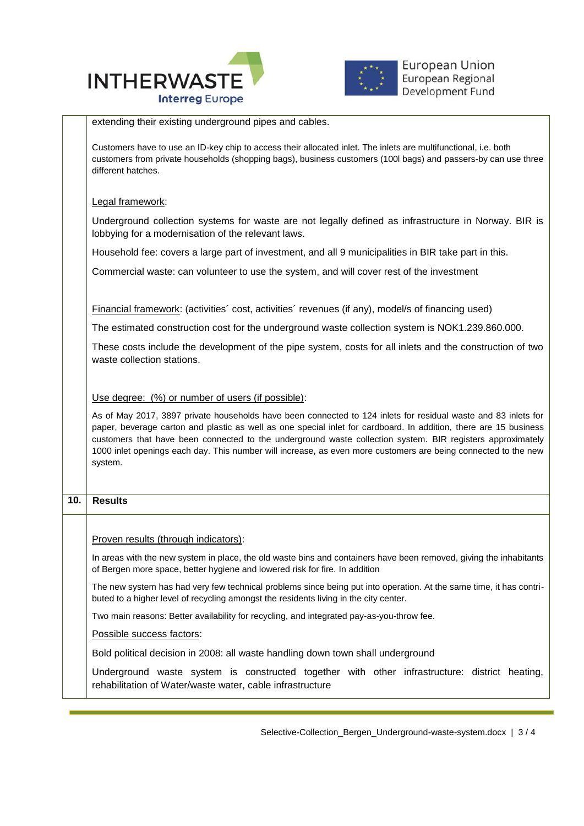



|     | extending their existing underground pipes and cables.                                                                                                                                                                                                                                                                                                                                                                                                                         |  |  |  |
|-----|--------------------------------------------------------------------------------------------------------------------------------------------------------------------------------------------------------------------------------------------------------------------------------------------------------------------------------------------------------------------------------------------------------------------------------------------------------------------------------|--|--|--|
|     | Customers have to use an ID-key chip to access their allocated inlet. The inlets are multifunctional, i.e. both<br>customers from private households (shopping bags), business customers (100l bags) and passers-by can use three<br>different hatches.                                                                                                                                                                                                                        |  |  |  |
|     | Legal framework:                                                                                                                                                                                                                                                                                                                                                                                                                                                               |  |  |  |
|     | Underground collection systems for waste are not legally defined as infrastructure in Norway. BIR is<br>lobbying for a modernisation of the relevant laws.                                                                                                                                                                                                                                                                                                                     |  |  |  |
|     | Household fee: covers a large part of investment, and all 9 municipalities in BIR take part in this.                                                                                                                                                                                                                                                                                                                                                                           |  |  |  |
|     | Commercial waste: can volunteer to use the system, and will cover rest of the investment                                                                                                                                                                                                                                                                                                                                                                                       |  |  |  |
|     | Financial framework: (activities' cost, activities' revenues (if any), model/s of financing used)                                                                                                                                                                                                                                                                                                                                                                              |  |  |  |
|     | The estimated construction cost for the underground waste collection system is NOK1.239.860.000.                                                                                                                                                                                                                                                                                                                                                                               |  |  |  |
|     | These costs include the development of the pipe system, costs for all inlets and the construction of two<br>waste collection stations.                                                                                                                                                                                                                                                                                                                                         |  |  |  |
|     | Use degree: (%) or number of users (if possible):                                                                                                                                                                                                                                                                                                                                                                                                                              |  |  |  |
|     | As of May 2017, 3897 private households have been connected to 124 inlets for residual waste and 83 inlets for<br>paper, beverage carton and plastic as well as one special inlet for cardboard. In addition, there are 15 business<br>customers that have been connected to the underground waste collection system. BIR registers approximately<br>1000 inlet openings each day. This number will increase, as even more customers are being connected to the new<br>system. |  |  |  |
| 10. | <b>Results</b>                                                                                                                                                                                                                                                                                                                                                                                                                                                                 |  |  |  |
|     |                                                                                                                                                                                                                                                                                                                                                                                                                                                                                |  |  |  |
|     | Proven results (through indicators):                                                                                                                                                                                                                                                                                                                                                                                                                                           |  |  |  |
|     | In areas with the new system in place, the old waste bins and containers have been removed, giving the inhabitants<br>of Bergen more space, better hygiene and lowered risk for fire. In addition                                                                                                                                                                                                                                                                              |  |  |  |
|     | The new system has had very few technical problems since being put into operation. At the same time, it has contri-<br>buted to a higher level of recycling amongst the residents living in the city center.                                                                                                                                                                                                                                                                   |  |  |  |
|     | Two main reasons: Better availability for recycling, and integrated pay-as-you-throw fee.                                                                                                                                                                                                                                                                                                                                                                                      |  |  |  |
|     | Possible success factors:                                                                                                                                                                                                                                                                                                                                                                                                                                                      |  |  |  |
|     | Bold political decision in 2008: all waste handling down town shall underground                                                                                                                                                                                                                                                                                                                                                                                                |  |  |  |
|     | Underground waste system is constructed together with other infrastructure: district heating,<br>rehabilitation of Water/waste water, cable infrastructure                                                                                                                                                                                                                                                                                                                     |  |  |  |

 $\overline{a}$ 

Selective-Collection\_Bergen\_Underground-waste-system.docx | 3 / 4